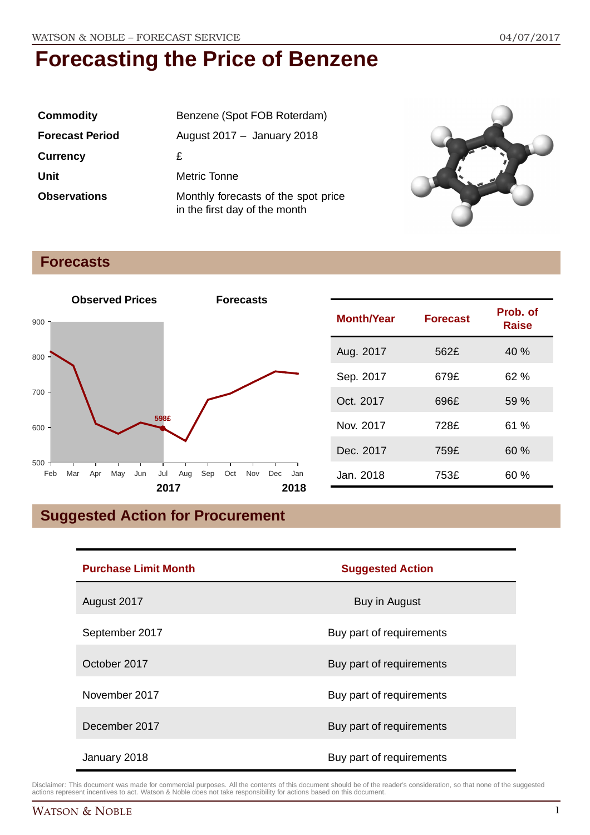| <b>Commodity</b>       | Benzene (Spot FOB Roterdam)                                          |  |
|------------------------|----------------------------------------------------------------------|--|
| <b>Forecast Period</b> | August $2017 -$ January 2018                                         |  |
| <b>Currency</b>        | £                                                                    |  |
| Unit                   | Metric Tonne                                                         |  |
| <b>Observations</b>    | Monthly forecasts of the spot price<br>in the first day of the month |  |



## **Forecasts**



| <b>Month/Year</b> | <b>Forecast</b> | Prob. of<br>Raise |
|-------------------|-----------------|-------------------|
| Aug. 2017         | 562£            | 40 %              |
| Sep. 2017         | 679£            | 62%               |
| Oct. 2017         | 696£            | 59 %              |
| Nov. 2017         | 728£            | 61%               |
| Dec. 2017         | 759£            | 60%               |
| Jan. 2018         | 753£            | 60 %              |

## **Suggested Action for Procurement**

| <b>Purchase Limit Month</b> | <b>Suggested Action</b>  |  |
|-----------------------------|--------------------------|--|
| August 2017                 | Buy in August            |  |
| September 2017              | Buy part of requirements |  |
| October 2017                | Buy part of requirements |  |
| November 2017               | Buy part of requirements |  |
| December 2017               | Buy part of requirements |  |
| January 2018                | Buy part of requirements |  |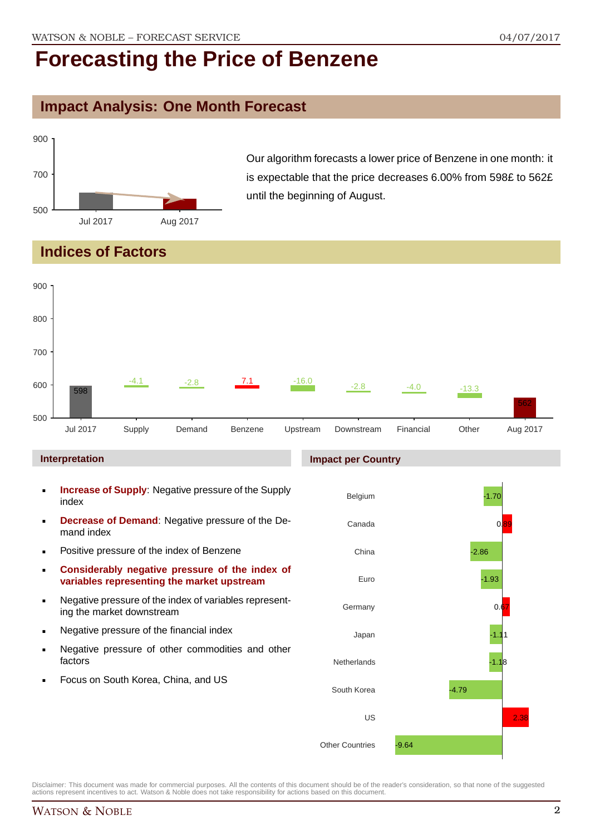### **Impact Analysis: One Month Forecast**



Our algorithm forecasts a lower price of Benzene in one month: it is expectable that the price decreases 6.00% from 598£ to 562£ until the beginning of August.

### **Indices of Factors**



#### **Interpretation**

- **Increase of Supply**: Negative pressure of the Supply index
- **Decrease of Demand**: Negative pressure of the Demand index
- **Positive pressure of the index of Benzene**
- **Considerably negative pressure of the index of variables representing the market upstream**
- Negative pressure of the index of variables representing the market downstream
- **Negative pressure of the financial index**
- **Negative pressure of other commodities and other** factors
- Focus on South Korea, China, and US



Disclaimer: This document was made for commercial purposes. All the contents of this document should be of the reader's consideration, so that none of the suggested actions represent incentives to act. Watson & Noble does not take responsibility for actions based on this document.

#### **Impact per Country**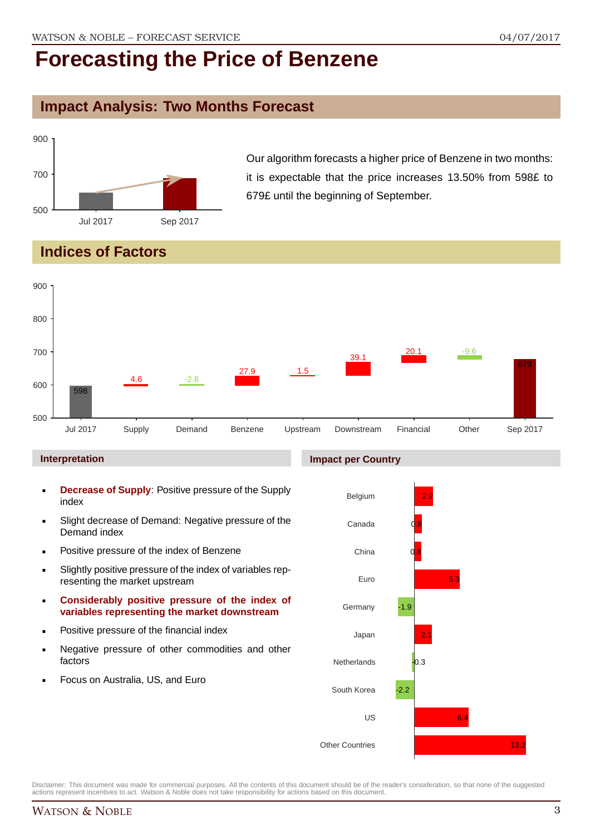### **Impact Analysis: Two Months Forecast**



Our algorithm forecasts a higher price of Benzene in two months: it is expectable that the price increases 13.50% from 598£ to 679£ until the beginning of September.

## **Indices of Factors**



#### **Interpretation**

- **Decrease of Supply**: Positive pressure of the Supply index
- Slight decrease of Demand: Negative pressure of the Demand index
- **Positive pressure of the index of Benzene**
- Slightly positive pressure of the index of variables representing the market upstream
- **Considerably positive pressure of the index of variables representing the market downstream**
- **•** Positive pressure of the financial index
- **Negative pressure of other commodities and other** factors
- Focus on Australia, US, and Euro

### **Impact per Country**

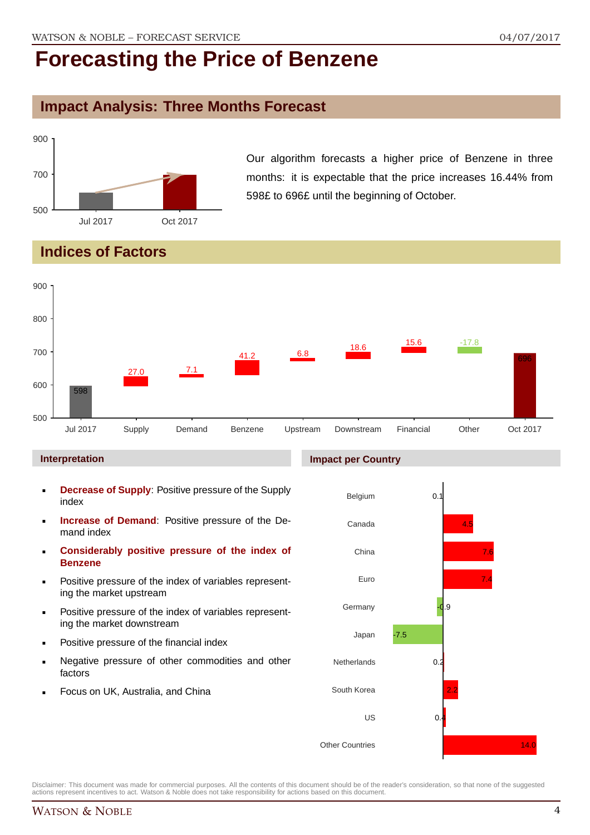## **Impact Analysis: Three Months Forecast**



Our algorithm forecasts a higher price of Benzene in three months: it is expectable that the price increases 16.44% from 598£ to 696£ until the beginning of October.

## **Indices of Factors**



#### **Interpretation**

- **Decrease of Supply**: Positive pressure of the Supply index
- **Increase of Demand**: Positive pressure of the Demand index
- **Considerably positive pressure of the index of Benzene**
- Positive pressure of the index of variables representing the market upstream
- Positive pressure of the index of variables representing the market downstream
- Positive pressure of the financial index
- Negative pressure of other commodities and other factors
- Focus on UK, Australia, and China

#### **Impact per Country**

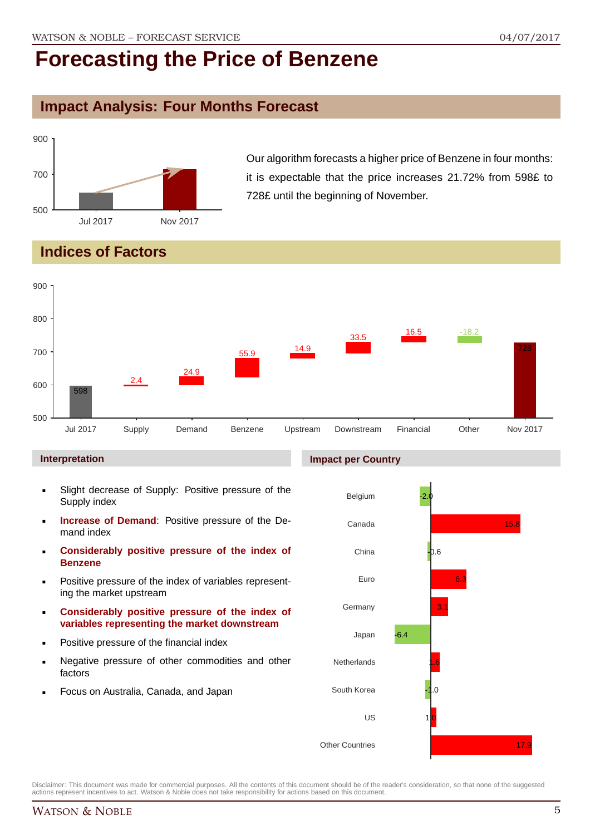## **Impact Analysis: Four Months Forecast**



Our algorithm forecasts a higher price of Benzene in four months: it is expectable that the price increases 21.72% from 598£ to 728£ until the beginning of November.

## **Indices of Factors**



#### **Interpretation**

- Slight decrease of Supply: Positive pressure of the Supply index
- **Increase of Demand**: Positive pressure of the Demand index
- **Considerably positive pressure of the index of Benzene**
- Positive pressure of the index of variables representing the market upstream
- **Considerably positive pressure of the index of variables representing the market downstream**
- Positive pressure of the financial index
- Negative pressure of other commodities and other factors
- Focus on Australia, Canada, and Japan

#### **Impact per Country**

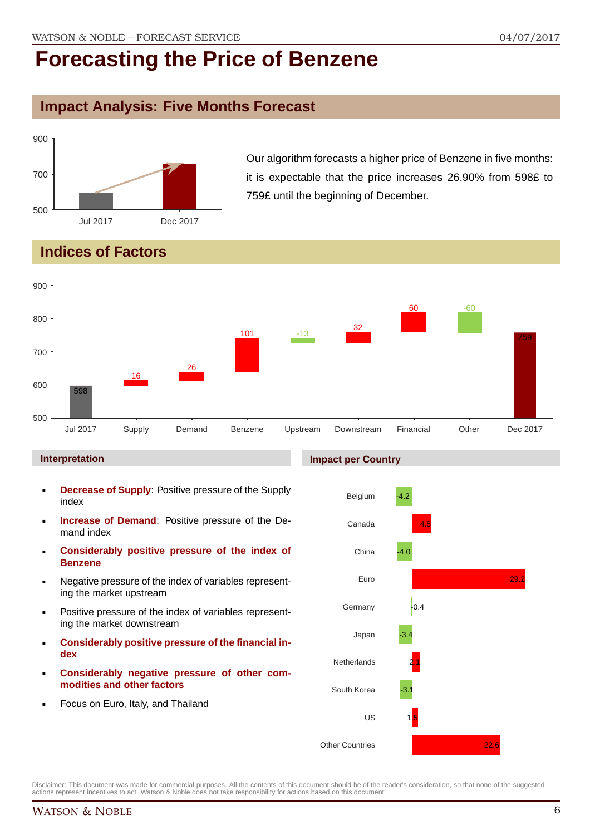## **Impact Analysis: Five Months Forecast**



Our algorithm forecasts a higher price of Benzene in five months: it is expectable that the price increases 26.90% from 598£ to 759£ until the beginning of December.

## **Indices of Factors**



#### **Interpretation**

- **Decrease of Supply**: Positive pressure of the Supply index
- **Increase of Demand**: Positive pressure of the Demand index
- **Considerably positive pressure of the index of Benzene**
- Negative pressure of the index of variables representing the market upstream
- Positive pressure of the index of variables representing the market downstream
- **Considerably positive pressure of the financial index**
- **Considerably negative pressure of other commodities and other factors**
- Focus on Euro, Italy, and Thailand

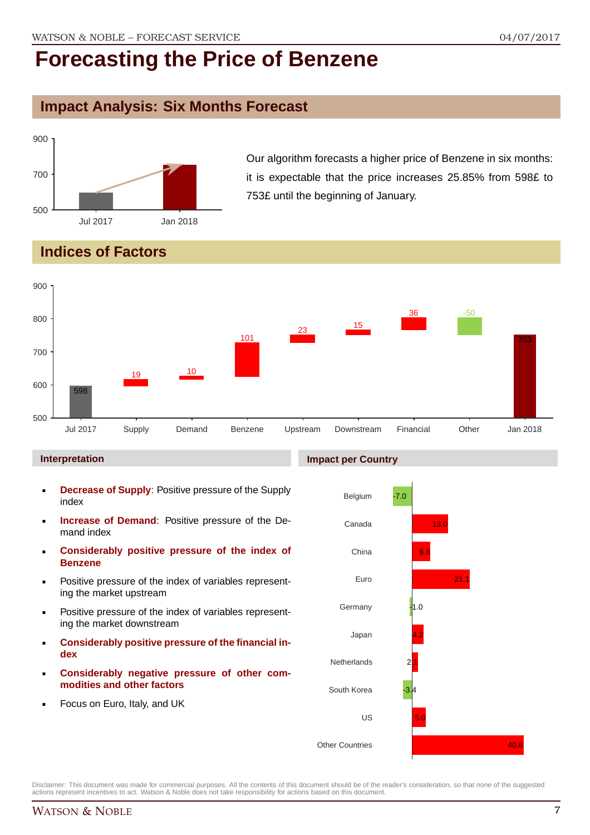## **Impact Analysis: Six Months Forecast**



Our algorithm forecasts a higher price of Benzene in six months: it is expectable that the price increases 25.85% from 598£ to 753£ until the beginning of January.

## **Indices of Factors**



#### **Interpretation**

- **Decrease of Supply**: Positive pressure of the Supply index
- **Increase of Demand**: Positive pressure of the Demand index
- **Considerably positive pressure of the index of Benzene**
- Positive pressure of the index of variables representing the market upstream
- Positive pressure of the index of variables representing the market downstream
- **Considerably positive pressure of the financial index**
- **Considerably negative pressure of other commodities and other factors**
- Focus on Euro, Italy, and UK

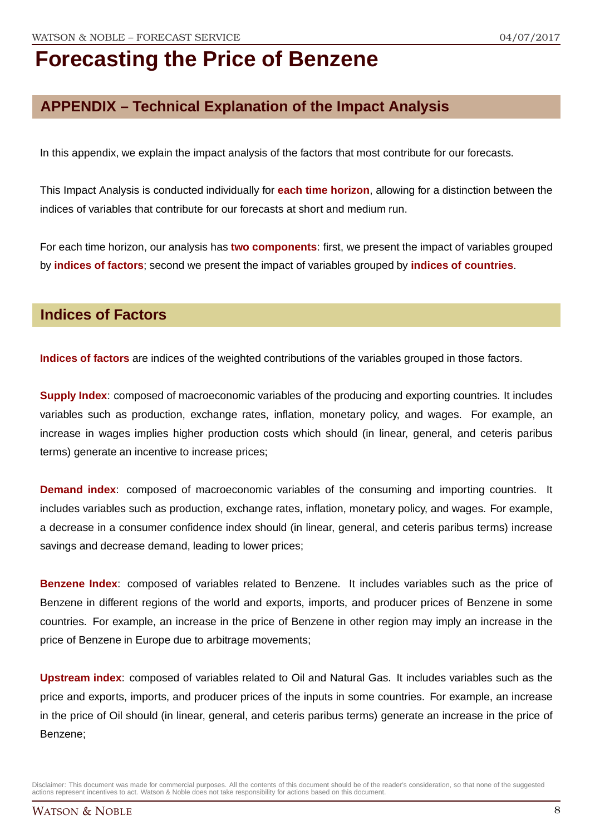## **APPENDIX – Technical Explanation of the Impact Analysis**

In this appendix, we explain the impact analysis of the factors that most contribute for our forecasts.

This Impact Analysis is conducted individually for **each time horizon**, allowing for a distinction between the indices of variables that contribute for our forecasts at short and medium run.

For each time horizon, our analysis has **two components**: first, we present the impact of variables grouped by **indices of factors**; second we present the impact of variables grouped by **indices of countries**.

### **Indices of Factors**

**Indices of factors** are indices of the weighted contributions of the variables grouped in those factors.

**Supply Index**: composed of macroeconomic variables of the producing and exporting countries. It includes variables such as production, exchange rates, inflation, monetary policy, and wages. For example, an increase in wages implies higher production costs which should (in linear, general, and ceteris paribus terms) generate an incentive to increase prices;

**Demand index**: composed of macroeconomic variables of the consuming and importing countries. It includes variables such as production, exchange rates, inflation, monetary policy, and wages. For example, a decrease in a consumer confidence index should (in linear, general, and ceteris paribus terms) increase savings and decrease demand, leading to lower prices;

**Benzene Index**: composed of variables related to Benzene. It includes variables such as the price of Benzene in different regions of the world and exports, imports, and producer prices of Benzene in some countries. For example, an increase in the price of Benzene in other region may imply an increase in the price of Benzene in Europe due to arbitrage movements;

**Upstream index**: composed of variables related to Oil and Natural Gas. It includes variables such as the price and exports, imports, and producer prices of the inputs in some countries. For example, an increase in the price of Oil should (in linear, general, and ceteris paribus terms) generate an increase in the price of Benzene;